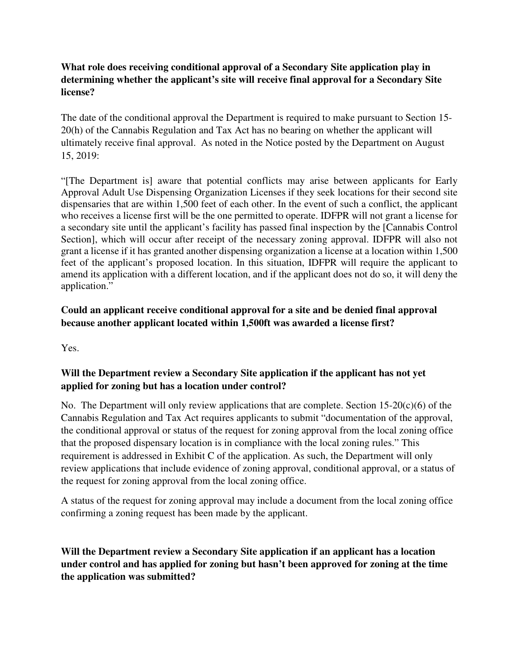### **What role does receiving conditional approval of a Secondary Site application play in determining whether the applicant's site will receive final approval for a Secondary Site license?**

The date of the conditional approval the Department is required to make pursuant to Section 15- 20(h) of the Cannabis Regulation and Tax Act has no bearing on whether the applicant will ultimately receive final approval. As noted in the Notice posted by the Department on August 15, 2019:

"[The Department is] aware that potential conflicts may arise between applicants for Early Approval Adult Use Dispensing Organization Licenses if they seek locations for their second site dispensaries that are within 1,500 feet of each other. In the event of such a conflict, the applicant who receives a license first will be the one permitted to operate. IDFPR will not grant a license for a secondary site until the applicant's facility has passed final inspection by the [Cannabis Control Section], which will occur after receipt of the necessary zoning approval. IDFPR will also not grant a license if it has granted another dispensing organization a license at a location within 1,500 feet of the applicant's proposed location. In this situation, IDFPR will require the applicant to amend its application with a different location, and if the applicant does not do so, it will deny the application."

# **Could an applicant receive conditional approval for a site and be denied final approval because another applicant located within 1,500ft was awarded a license first?**

Yes.

### **Will the Department review a Secondary Site application if the applicant has not yet applied for zoning but has a location under control?**

No. The Department will only review applications that are complete. Section  $15{\text -}20(c)(6)$  of the Cannabis Regulation and Tax Act requires applicants to submit "documentation of the approval, the conditional approval or status of the request for zoning approval from the local zoning office that the proposed dispensary location is in compliance with the local zoning rules." This requirement is addressed in Exhibit C of the application. As such, the Department will only review applications that include evidence of zoning approval, conditional approval, or a status of the request for zoning approval from the local zoning office.

A status of the request for zoning approval may include a document from the local zoning office confirming a zoning request has been made by the applicant.

**Will the Department review a Secondary Site application if an applicant has a location under control and has applied for zoning but hasn't been approved for zoning at the time the application was submitted?**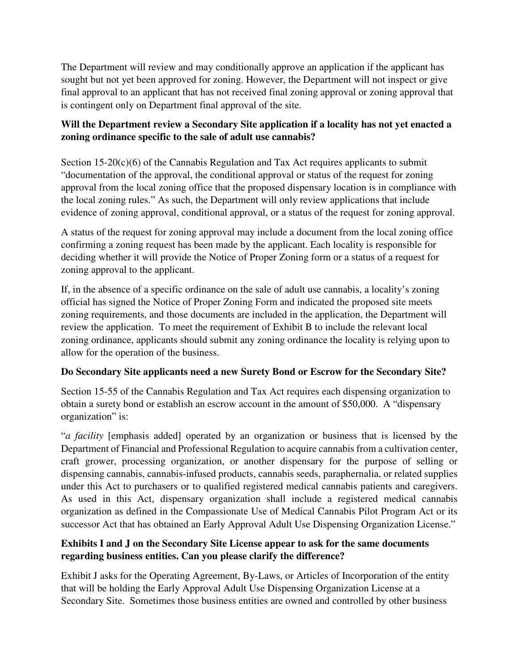The Department will review and may conditionally approve an application if the applicant has sought but not yet been approved for zoning. However, the Department will not inspect or give final approval to an applicant that has not received final zoning approval or zoning approval that is contingent only on Department final approval of the site.

# **Will the Department review a Secondary Site application if a locality has not yet enacted a zoning ordinance specific to the sale of adult use cannabis?**

Section 15-20(c)(6) of the Cannabis Regulation and Tax Act requires applicants to submit "documentation of the approval, the conditional approval or status of the request for zoning approval from the local zoning office that the proposed dispensary location is in compliance with the local zoning rules." As such, the Department will only review applications that include evidence of zoning approval, conditional approval, or a status of the request for zoning approval.

A status of the request for zoning approval may include a document from the local zoning office confirming a zoning request has been made by the applicant. Each locality is responsible for deciding whether it will provide the Notice of Proper Zoning form or a status of a request for zoning approval to the applicant.

If, in the absence of a specific ordinance on the sale of adult use cannabis, a locality's zoning official has signed the Notice of Proper Zoning Form and indicated the proposed site meets zoning requirements, and those documents are included in the application, the Department will review the application. To meet the requirement of Exhibit B to include the relevant local zoning ordinance, applicants should submit any zoning ordinance the locality is relying upon to allow for the operation of the business.

# **Do Secondary Site applicants need a new Surety Bond or Escrow for the Secondary Site?**

Section 15-55 of the Cannabis Regulation and Tax Act requires each dispensing organization to obtain a surety bond or establish an escrow account in the amount of \$50,000. A "dispensary organization" is:

"*a facility* [emphasis added] operated by an organization or business that is licensed by the Department of Financial and Professional Regulation to acquire cannabis from a cultivation center, craft grower, processing organization, or another dispensary for the purpose of selling or dispensing cannabis, cannabis-infused products, cannabis seeds, paraphernalia, or related supplies under this Act to purchasers or to qualified registered medical cannabis patients and caregivers. As used in this Act, dispensary organization shall include a registered medical cannabis organization as defined in the Compassionate Use of Medical Cannabis Pilot Program Act or its successor Act that has obtained an Early Approval Adult Use Dispensing Organization License."

#### **Exhibits I and J on the Secondary Site License appear to ask for the same documents regarding business entities. Can you please clarify the difference?**

Exhibit J asks for the Operating Agreement, By-Laws, or Articles of Incorporation of the entity that will be holding the Early Approval Adult Use Dispensing Organization License at a Secondary Site. Sometimes those business entities are owned and controlled by other business